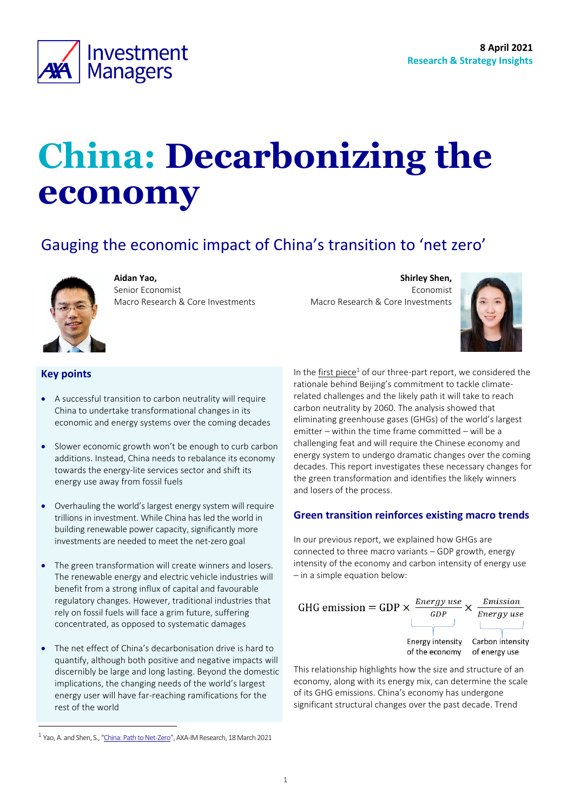

# **China: Decarbonizing the economy**

# Gauging the economic impact of China's transition to 'net zero'



**Aidan Yao,**  Senior Economist Macro Research & Core Investments

**Shirley Shen,** Economist Macro Research & Core Investments



# **Key points**

- A successful transition to carbon neutrality will require China to undertake transformational changes in its economic and energy systems over the coming decades
- Slower economic growth won't be enough to curb carbon additions. Instead, China needs to rebalance its economy towards the energy-lite services sector and shift its energy use away from fossil fuels
- Overhauling the world's largest energy system will require trillions in investment. While China has led the world in building renewable power capacity, significantly more investments are needed to meet the net-zero goal
- The green transformation will create winners and losers. The renewable energy and electric vehicle industries will benefit from a strong influx of capital and favourable regulatory changes. However, traditional industries that rely on fossil fuels will face a grim future, suffering concentrated, as opposed to systematic damages
- The net effect of China's decarbonisation drive is hard to quantify, although both positive and negative impacts will discernibly be large and long lasting. Beyond the domestic implications, the changing needs of the world's largest energy user will have far-reaching ramifications for the rest of the world

In the first [piece](https://www.axa-im.com/content/-/asset_publisher/alpeXKk1gk2N/content/research-china-path-to-net-zero-/23818)<sup>1</sup> of our three-part report, we considered the rationale behind Beijing's commitment to tackle climaterelated challenges and the likely path it will take to reach carbon neutrality by 2060. The analysis showed that eliminating greenhouse gases (GHGs) of the world's largest emitter – within the time frame committed – will be a challenging feat and will require the Chinese economy and energy system to undergo dramatic changes over the coming decades. This report investigates these necessary changes for the green transformation and identifies the likely winners and losers of the process.

## **Green transition reinforces existing macro trends**

In our previous report, we explained how GHGs are connected to three macro variants – GDP growth, energy intensity of the economy and carbon intensity of energy use – in a simple equation below:



This relationship highlights how the size and structure of an economy, along with its energy mix, can determine the scale of its GHG emissions. China's economy has undergone significant structural changes over the past decade. Trend

<sup>&</sup>lt;sup>1</sup> Yao, A. and Shen, S., "[China: Path to Net-Zero](https://www.axa-im.com/en/content/-/asset_publisher/alpeXKk1gk2N/content/research-china-path-to-net-zero-/23818)", AXA-IM Research, 18 March 2021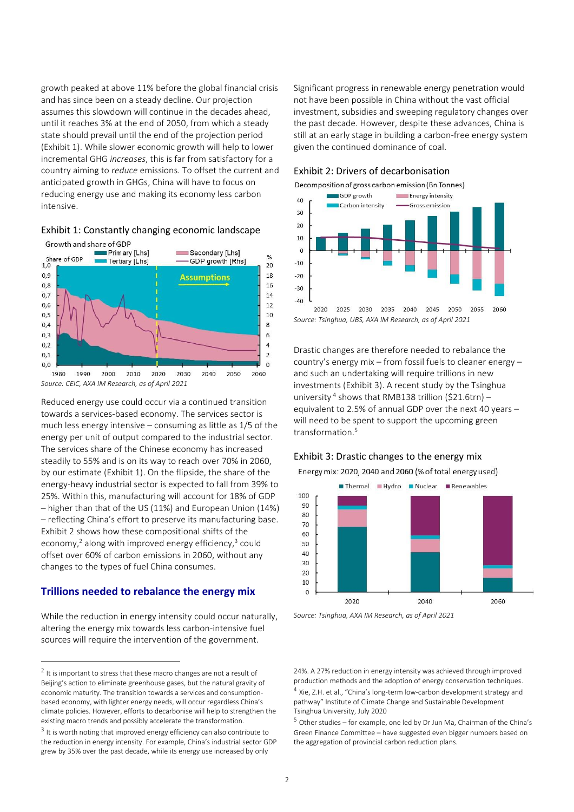growth peaked at above 11% before the global financial crisis and has since been on a steady decline. Our projection assumes this slowdown will continue in the decades ahead, until it reaches 3% at the end of 2050, from which a steady state should prevail until the end of the projection period [\(Exhibit 1\)](#page-1-0). While slower economic growth will help to lower incremental GHG *increases*, this is far from satisfactory for a country aiming to *reduce* emissions. To offset the current and anticipated growth in GHGs, China will have to focus on reducing energy use and making its economy less carbon intensive.

<span id="page-1-0"></span>



Reduced energy use could occur via a continued transition towards a services-based economy. The services sector is much less energy intensive – consuming as little as 1/5 of the energy per unit of output compared to the industrial sector. The services share of the Chinese economy has increased steadily to 55% and is on its way to reach over 70% in 2060, by our estimate (Exhibit 1). On the flipside, the share of the energy-heavy industrial sector is expected to fall from 39% to 25%. Within this, manufacturing will account for 18% of GDP – higher than that of the US (11%) and European Union (14%) – reflecting China's effort to preserve its manufacturing base. [Exhibit 2](#page-1-1) shows how these compositional shifts of the economy,<sup>2</sup> along with improved energy efficiency,<sup>3</sup> could offset over 60% of carbon emissions in 2060, without any changes to the types of fuel China consumes.

## **Trillions needed to rebalance the energy mix**

While the reduction in energy intensity could occur naturally, altering the energy mix towards less carbon-intensive fuel sources will require the intervention of the government.

Significant progress in renewable energy penetration would not have been possible in China without the vast official investment, subsidies and sweeping regulatory changes over the past decade. However, despite these advances, China is still at an early stage in building a carbon-free energy system given the continued dominance of coal.

<span id="page-1-1"></span>





*Source: Tsinghua, UBS, AXA IM Research, as of April 2021*

Drastic changes are therefore needed to rebalance the country's energy mix – from fossil fuels to cleaner energy – and such an undertaking will require trillions in new investments [\(Exhibit 3\)](#page-1-2). A recent study by the Tsinghua university<sup>4</sup> shows that RMB138 trillion (\$21.6trn) equivalent to 2.5% of annual GDP over the next 40 years – will need to be spent to support the upcoming green transformation.<sup>5</sup>

#### <span id="page-1-2"></span>Exhibit 3: Drastic changes to the energy mix

Energy mix: 2020, 2040 and 2060 (% of total energy used)



*Source: Tsinghua, AXA IM Research, as of April 2021*

24%. A 27% reduction in energy intensity was achieved through improved production methods and the adoption of energy conservation techniques. <sup>4</sup> Xie, Z.H. et al., "China's long-term low-carbon development strategy and pathway" Institute of Climate Change and Sustainable Development Tsinghua University, July 2020

 $5$  Other studies – for example, one led by Dr Jun Ma, Chairman of the China's Green Finance Committee – have suggested even bigger numbers based on the aggregation of provincial carbon reduction plans.

 $2$  It is important to stress that these macro changes are not a result of Beijing's action to eliminate greenhouse gases, but the natural gravity of economic maturity. The transition towards a services and consumptionbased economy, with lighter energy needs, will occur regardless China's climate policies. However, efforts to decarbonise will help to strengthen the existing macro trends and possibly accelerate the transformation.

 $3$  It is worth noting that improved energy efficiency can also contribute to the reduction in energy intensity. For example, China's industrial sector GDP grew by 35% over the past decade, while its energy use increased by only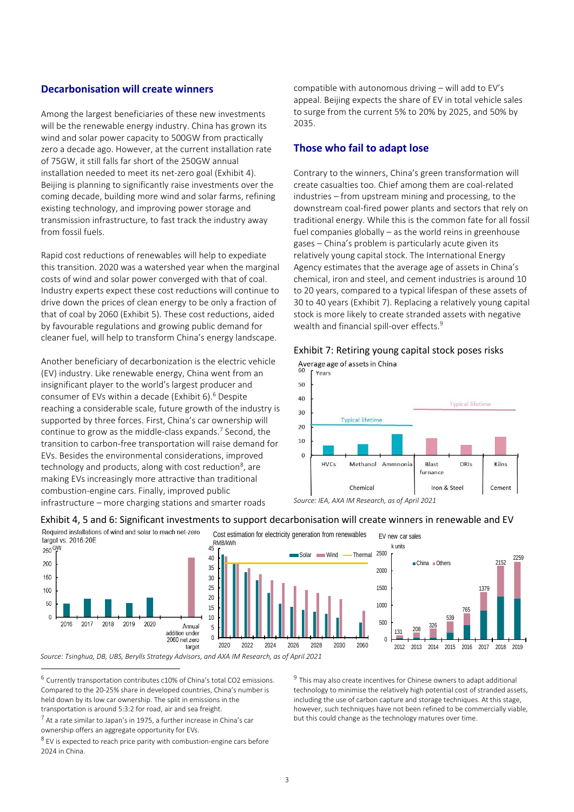### **Decarbonisation will create winners**

Among the largest beneficiaries of these new investments will be the renewable energy industry. China has grown its wind and solar power capacity to 500GW from practically zero a decade ago. However, at the current installation rate of 75GW, it still falls far short of the 250GW annual installation needed to meet its net-zero goal [\(Exhibit 4\)](#page-2-0). Beijing is planning to significantly raise investments over the coming decade, building more wind and solar farms, refining existing technology, and improving power storage and transmission infrastructure, to fast track the industry away from fossil fuels.

Rapid cost reductions of renewables will help to expediate this transition. 2020 was a watershed year when the marginal costs of wind and solar power converged with that of coal. Industry experts expect these cost reductions will continue to drive down the prices of clean energy to be only a fraction of that of coal by 2060 (Exhibit 5). These cost reductions, aided by favourable regulations and growing public demand for cleaner fuel, will help to transform China's energy landscape.

Another beneficiary of decarbonization is the electric vehicle (EV) industry. Like renewable energy, China went from an insignificant player to the world's largest producer and consumer of EVs within a decade (Exhibit 6). <sup>6</sup> Despite reaching a considerable scale, future growth of the industry is supported by three forces. First, China's car ownership will continue to grow as the middle-class expands.<sup>7</sup> Second, the transition to carbon-free transportation will raise demand for EVs. Besides the environmental considerations, improved technology and products, along with cost reduction<sup>8</sup>, are making EVs increasingly more attractive than traditional combustion-engine cars. Finally, improved public infrastructure – more charging stations and smarter roads

compatible with autonomous driving – will add to EV's appeal. Beijing expects the share of EV in total vehicle sales to surge from the current 5% to 20% by 2025, and 50% by 2035.

#### **Those who fail to adapt lose**

Contrary to the winners, China's green transformation will create casualties too. Chief among them are coal-related industries – from upstream mining and processing, to the downstream coal-fired power plants and sectors that rely on traditional energy. While this is the common fate for all fossil fuel companies globally – as the world reins in greenhouse gases – China's problem is particularly acute given its relatively young capital stock. The International Energy Agency estimates that the average age of assets in China's chemical, iron and steel, and cement industries is around 10 to 20 years, compared to a typical lifespan of these assets of 30 to 40 years [\(Exhibit 7\)](#page-2-1). Replacing a relatively young capital stock is more likely to create stranded assets with negative wealth and financial spill-over effects.<sup>9</sup>

<span id="page-2-1"></span>



*Source: IEA, AXA IM Research, as of April 2021*

#### <span id="page-2-0"></span>Exhibit 4, 5 and 6: Significant investments to support decarbonisation will create winners in renewable and EV



 $^6$  Currently transportation contributes c10% of China's total CO2 emissions. Compared to the 20-25% share in developed countries, China's number is held down by its low car ownership. The split in emissions in the transportation is around 5:3:2 for road, air and sea freight.

<sup>9</sup> This may also create incentives for Chinese owners to adapt additional technology to minimise the relatively high potential cost of stranded assets, including the use of carbon capture and storage techniques. At this stage, however, such techniques have not been refined to be commercially viable, but this could change as the technology matures over time.

 $^7$  At a rate similar to Japan's in 1975, a further increase in China's car ownership offers an aggregate opportunity for EVs.

 $8$  EV is expected to reach price parity with combustion-engine cars before 2024 in China.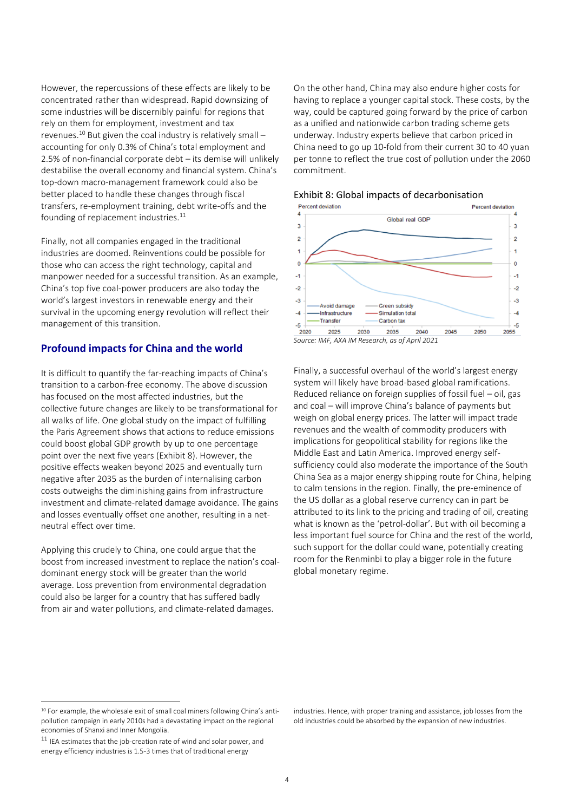However, the repercussions of these effects are likely to be concentrated rather than widespread. Rapid downsizing of some industries will be discernibly painful for regions that rely on them for employment, investment and tax revenues.<sup>10</sup> But given the coal industry is relatively small – accounting for only 0.3% of China's total employment and 2.5% of non-financial corporate debt – its demise will unlikely destabilise the overall economy and financial system. China's top-down macro-management framework could also be better placed to handle these changes through fiscal transfers, re-employment training, debt write-offs and the founding of replacement industries. $11$ 

Finally, not all companies engaged in the traditional industries are doomed. Reinventions could be possible for those who can access the right technology, capital and manpower needed for a successful transition. As an example, China's top five coal-power producers are also today the world's largest investors in renewable energy and their survival in the upcoming energy revolution will reflect their management of this transition.

# **Profound impacts for China and the world**

It is difficult to quantify the far-reaching impacts of China's transition to a carbon-free economy. The above discussion has focused on the most affected industries, but the collective future changes are likely to be transformational for all walks of life. One global study on the impact of fulfilling the Paris Agreement shows that actions to reduce emissions could boost global GDP growth by up to one percentage point over the next five years [\(Exhibit 8\)](#page-3-0). However, the positive effects weaken beyond 2025 and eventually turn negative after 2035 as the burden of internalising carbon costs outweighs the diminishing gains from infrastructure investment and climate-related damage avoidance. The gains and losses eventually offset one another, resulting in a netneutral effect over time.

Applying this crudely to China, one could argue that the boost from increased investment to replace the nation's coaldominant energy stock will be greater than the world average. Loss prevention from environmental degradation could also be larger for a country that has suffered badly from air and water pollutions, and climate-related damages.

On the other hand, China may also endure higher costs for having to replace a younger capital stock. These costs, by the way, could be captured going forward by the price of carbon as a unified and nationwide carbon trading scheme gets underway. Industry experts believe that carbon priced in China need to go up 10-fold from their current 30 to 40 yuan per tonne to reflect the true cost of pollution under the 2060 commitment.



# <span id="page-3-0"></span>Exhibit 8: Global impacts of decarbonisation



Finally, a successful overhaul of the world's largest energy system will likely have broad-based global ramifications. Reduced reliance on foreign supplies of fossil fuel – oil, gas and coal – will improve China's balance of payments but weigh on global energy prices. The latter will impact trade revenues and the wealth of commodity producers with implications for geopolitical stability for regions like the Middle East and Latin America. Improved energy selfsufficiency could also moderate the importance of the South China Sea as a major energy shipping route for China, helping to calm tensions in the region. Finally, the pre-eminence of the US dollar as a global reserve currency can in part be attributed to its link to the pricing and trading of oil, creating what is known as the 'petrol-dollar'. But with oil becoming a less important fuel source for China and the rest of the world, such support for the dollar could wane, potentially creating room for the Renminbi to play a bigger role in the future global monetary regime.

industries. Hence, with proper training and assistance, job losses from the old industries could be absorbed by the expansion of new industries.

<sup>&</sup>lt;sup>10</sup> For example, the wholesale exit of small coal miners following China's antipollution campaign in early 2010s had a devastating impact on the regional economies of Shanxi and Inner Mongolia.

 $11$  IEA estimates that the job-creation rate of wind and solar power, and energy efficiency industries is 1.5-3 times that of traditional energy